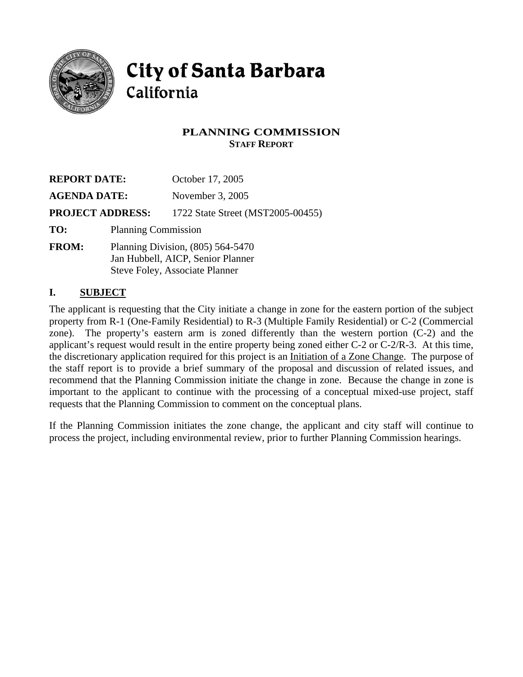

# **City of Santa Barbara** California

### **PLANNING COMMISSION STAFF REPORT**

| <b>REPORT DATE:</b><br><b>AGENDA DATE:</b> |                                                                                                            | October 17, 2005<br>November 3, 2005 |  |  |                         |
|--------------------------------------------|------------------------------------------------------------------------------------------------------------|--------------------------------------|--|--|-------------------------|
|                                            |                                                                                                            |                                      |  |  | <b>PROJECT ADDRESS:</b> |
| TO:                                        | <b>Planning Commission</b>                                                                                 |                                      |  |  |                         |
| <b>FROM:</b>                               | Planning Division, $(805)$ 564-5470<br>Jan Hubbell, AICP, Senior Planner<br>Steve Foley, Associate Planner |                                      |  |  |                         |

#### **I. SUBJECT**

The applicant is requesting that the City initiate a change in zone for the eastern portion of the subject property from R-1 (One-Family Residential) to R-3 (Multiple Family Residential) or C-2 (Commercial zone). The property's eastern arm is zoned differently than the western portion (C-2) and the applicant's request would result in the entire property being zoned either C-2 or C-2/R-3. At this time, the discretionary application required for this project is an Initiation of a Zone Change. The purpose of the staff report is to provide a brief summary of the proposal and discussion of related issues, and recommend that the Planning Commission initiate the change in zone. Because the change in zone is important to the applicant to continue with the processing of a conceptual mixed-use project, staff requests that the Planning Commission to comment on the conceptual plans.

If the Planning Commission initiates the zone change, the applicant and city staff will continue to process the project, including environmental review, prior to further Planning Commission hearings.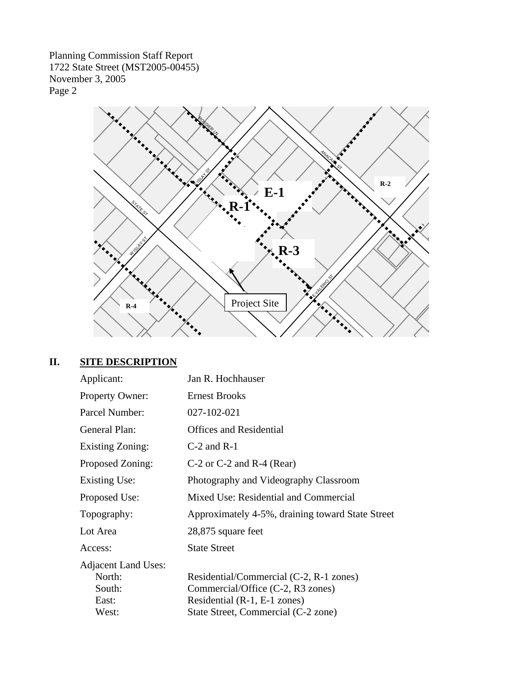Page 2



## **II. SITE DESCRIPTION**

| Applicant:                                                       | Jan R. Hochhauser                                                                                                                                   |
|------------------------------------------------------------------|-----------------------------------------------------------------------------------------------------------------------------------------------------|
| Property Owner:                                                  | <b>Ernest Brooks</b>                                                                                                                                |
| Parcel Number:                                                   | 027-102-021                                                                                                                                         |
| General Plan:                                                    | <b>Offices and Residential</b>                                                                                                                      |
| <b>Existing Zoning:</b>                                          | $C-2$ and $R-1$                                                                                                                                     |
| Proposed Zoning:                                                 | $C-2$ or $C-2$ and $R-4$ (Rear)                                                                                                                     |
| Existing Use:                                                    | Photography and Videography Classroom                                                                                                               |
| Proposed Use:                                                    | Mixed Use: Residential and Commercial                                                                                                               |
| Topography:                                                      | Approximately 4-5%, draining toward State Street                                                                                                    |
| Lot Area                                                         | 28,875 square feet                                                                                                                                  |
| Access:                                                          | <b>State Street</b>                                                                                                                                 |
| <b>Adjacent Land Uses:</b><br>North:<br>South:<br>East:<br>West: | Residential/Commercial (C-2, R-1 zones)<br>Commercial/Office (C-2, R3 zones)<br>Residential (R-1, E-1 zones)<br>State Street, Commercial (C-2 zone) |
|                                                                  |                                                                                                                                                     |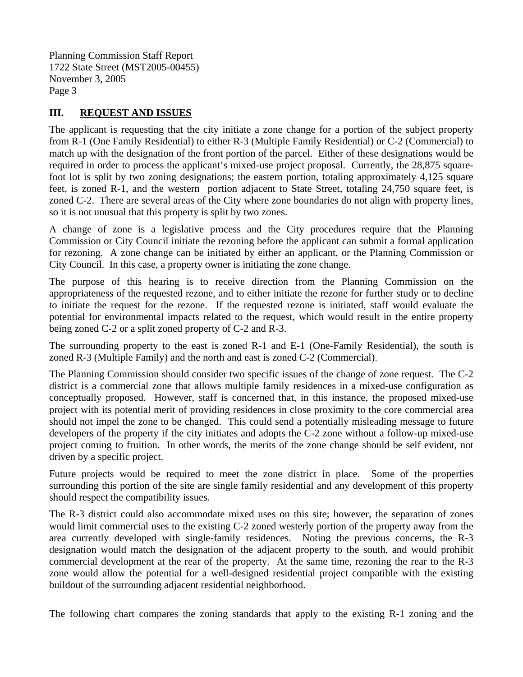#### **III. REQUEST AND ISSUES**

The applicant is requesting that the city initiate a zone change for a portion of the subject property from R-1 (One Family Residential) to either R-3 (Multiple Family Residential) or C-2 (Commercial) to match up with the designation of the front portion of the parcel. Either of these designations would be required in order to process the applicant's mixed-use project proposal. Currently, the 28,875 squarefoot lot is split by two zoning designations; the eastern portion, totaling approximately 4,125 square feet, is zoned R-1, and the western portion adjacent to State Street, totaling 24,750 square feet, is zoned C-2. There are several areas of the City where zone boundaries do not align with property lines, so it is not unusual that this property is split by two zones.

A change of zone is a legislative process and the City procedures require that the Planning Commission or City Council initiate the rezoning before the applicant can submit a formal application for rezoning. A zone change can be initiated by either an applicant, or the Planning Commission or City Council. In this case, a property owner is initiating the zone change.

The purpose of this hearing is to receive direction from the Planning Commission on the appropriateness of the requested rezone, and to either initiate the rezone for further study or to decline to initiate the request for the rezone. If the requested rezone is initiated, staff would evaluate the potential for environmental impacts related to the request, which would result in the entire property being zoned C-2 or a split zoned property of C-2 and R-3.

The surrounding property to the east is zoned R-1 and E-1 (One-Family Residential), the south is zoned R-3 (Multiple Family) and the north and east is zoned C-2 (Commercial).

The Planning Commission should consider two specific issues of the change of zone request. The C-2 district is a commercial zone that allows multiple family residences in a mixed-use configuration as conceptually proposed. However, staff is concerned that, in this instance, the proposed mixed-use project with its potential merit of providing residences in close proximity to the core commercial area should not impel the zone to be changed. This could send a potentially misleading message to future developers of the property if the city initiates and adopts the C-2 zone without a follow-up mixed-use project coming to fruition. In other words, the merits of the zone change should be self evident, not driven by a specific project.

Future projects would be required to meet the zone district in place. Some of the properties surrounding this portion of the site are single family residential and any development of this property should respect the compatibility issues.

The R-3 district could also accommodate mixed uses on this site; however, the separation of zones would limit commercial uses to the existing C-2 zoned westerly portion of the property away from the area currently developed with single-family residences. Noting the previous concerns, the R-3 designation would match the designation of the adjacent property to the south, and would prohibit commercial development at the rear of the property. At the same time, rezoning the rear to the R-3 zone would allow the potential for a well-designed residential project compatible with the existing buildout of the surrounding adjacent residential neighborhood.

The following chart compares the zoning standards that apply to the existing R-1 zoning and the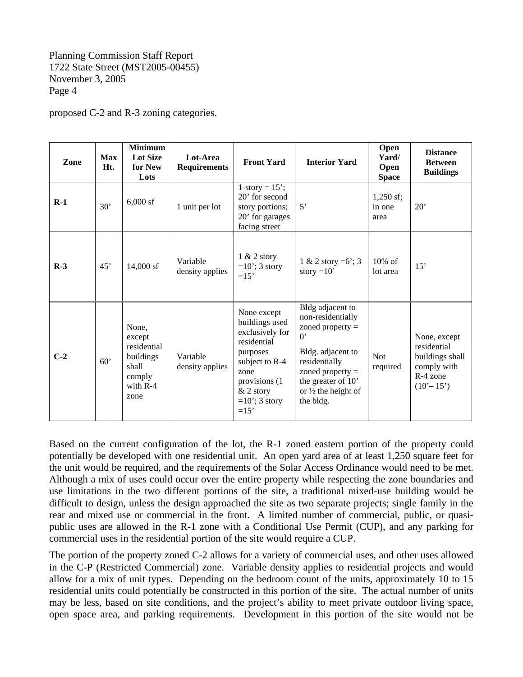proposed C-2 and R-3 zoning categories.

| Zone  | <b>Max</b><br>Ht. | <b>Minimum</b><br><b>Lot Size</b><br>for New<br>Lots                               | Lot-Area<br><b>Requirements</b> | <b>Front Yard</b>                                                                                                                                                    | <b>Interior Yard</b>                                                                                                                                                                                         | Open<br>Yard/<br>Open<br><b>Space</b> | <b>Distance</b><br><b>Between</b><br><b>Buildings</b>                                    |
|-------|-------------------|------------------------------------------------------------------------------------|---------------------------------|----------------------------------------------------------------------------------------------------------------------------------------------------------------------|--------------------------------------------------------------------------------------------------------------------------------------------------------------------------------------------------------------|---------------------------------------|------------------------------------------------------------------------------------------|
| $R-1$ | 30'               | $6,000$ sf                                                                         | 1 unit per lot                  | $1$ -story = $15$ <sup>2</sup> ;<br>20' for second<br>story portions;<br>20' for garages<br>facing street                                                            | 5'                                                                                                                                                                                                           | $1,250$ sf;<br>in one<br>area         | $20^{\circ}$                                                                             |
| $R-3$ | 45'               | 14,000 sf                                                                          | Variable<br>density applies     | $1 & 2$ story<br>$=10$ '; 3 story<br>$=15'$                                                                                                                          | 1 & 2 story = 6; 3<br>story = $10'$                                                                                                                                                                          | $10\%$ of<br>lot area                 | 15'                                                                                      |
| $C-2$ | 60'               | None,<br>except<br>residential<br>buildings<br>shall<br>comply<br>with R-4<br>zone | Variable<br>density applies     | None except<br>buildings used<br>exclusively for<br>residential<br>purposes<br>subject to R-4<br>zone<br>provisions (1)<br>$&$ 2 story<br>$=10$ '; 3 story<br>$=15'$ | Bldg adjacent to<br>non-residentially<br>zoned property $=$<br>$\mathbf{0}$<br>Bldg. adjacent to<br>residentially<br>zoned property $=$<br>the greater of 10'<br>or $\frac{1}{2}$ the height of<br>the bldg. | <b>Not</b><br>required                | None, except<br>residential<br>buildings shall<br>comply with<br>R-4 zone<br>$(10'-15')$ |

Based on the current configuration of the lot, the R-1 zoned eastern portion of the property could potentially be developed with one residential unit. An open yard area of at least 1,250 square feet for the unit would be required, and the requirements of the Solar Access Ordinance would need to be met. Although a mix of uses could occur over the entire property while respecting the zone boundaries and use limitations in the two different portions of the site, a traditional mixed-use building would be difficult to design, unless the design approached the site as two separate projects; single family in the rear and mixed use or commercial in the front. A limited number of commercial, public, or quasipublic uses are allowed in the R-1 zone with a Conditional Use Permit (CUP), and any parking for commercial uses in the residential portion of the site would require a CUP.

The portion of the property zoned C-2 allows for a variety of commercial uses, and other uses allowed in the C-P (Restricted Commercial) zone. Variable density applies to residential projects and would allow for a mix of unit types. Depending on the bedroom count of the units, approximately 10 to 15 residential units could potentially be constructed in this portion of the site. The actual number of units may be less, based on site conditions, and the project's ability to meet private outdoor living space, open space area, and parking requirements. Development in this portion of the site would not be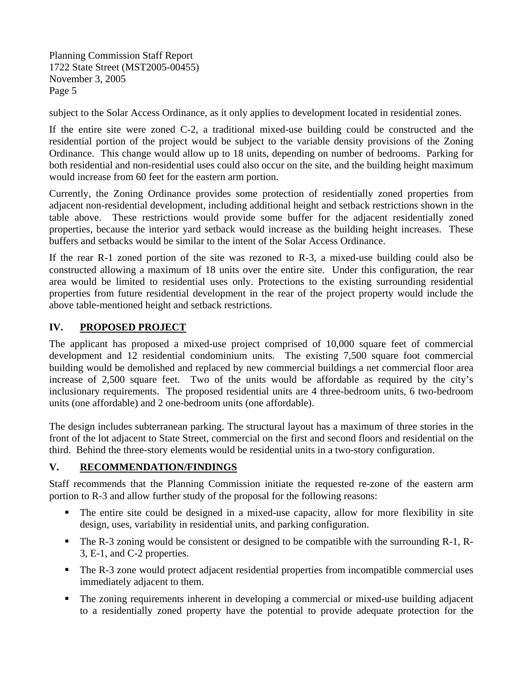subject to the Solar Access Ordinance, as it only applies to development located in residential zones.

If the entire site were zoned C-2, a traditional mixed-use building could be constructed and the residential portion of the project would be subject to the variable density provisions of the Zoning Ordinance. This change would allow up to 18 units, depending on number of bedrooms. Parking for both residential and non-residential uses could also occur on the site, and the building height maximum would increase from 60 feet for the eastern arm portion.

Currently, the Zoning Ordinance provides some protection of residentially zoned properties from adjacent non-residential development, including additional height and setback restrictions shown in the table above. These restrictions would provide some buffer for the adjacent residentially zoned properties, because the interior yard setback would increase as the building height increases. These buffers and setbacks would be similar to the intent of the Solar Access Ordinance.

If the rear R-1 zoned portion of the site was rezoned to R-3, a mixed-use building could also be constructed allowing a maximum of 18 units over the entire site. Under this configuration, the rear area would be limited to residential uses only. Protections to the existing surrounding residential properties from future residential development in the rear of the project property would include the above table-mentioned height and setback restrictions.

#### **IV. PROPOSED PROJECT**

The applicant has proposed a mixed-use project comprised of 10,000 square feet of commercial development and 12 residential condominium units. The existing 7,500 square foot commercial building would be demolished and replaced by new commercial buildings a net commercial floor area increase of 2,500 square feet. Two of the units would be affordable as required by the city's inclusionary requirements. The proposed residential units are 4 three-bedroom units, 6 two-bedroom units (one affordable) and 2 one-bedroom units (one affordable).

The design includes subterranean parking. The structural layout has a maximum of three stories in the front of the lot adjacent to State Street, commercial on the first and second floors and residential on the third. Behind the three-story elements would be residential units in a two-story configuration.

#### **V. RECOMMENDATION/FINDINGS**

Staff recommends that the Planning Commission initiate the requested re-zone of the eastern arm portion to R-3 and allow further study of the proposal for the following reasons:

- The entire site could be designed in a mixed-use capacity, allow for more flexibility in site design, uses, variability in residential units, and parking configuration.
- The R-3 zoning would be consistent or designed to be compatible with the surrounding R-1, R-3, E-1, and C-2 properties.
- The R-3 zone would protect adjacent residential properties from incompatible commercial uses immediately adjacent to them.
- The zoning requirements inherent in developing a commercial or mixed-use building adjacent to a residentially zoned property have the potential to provide adequate protection for the